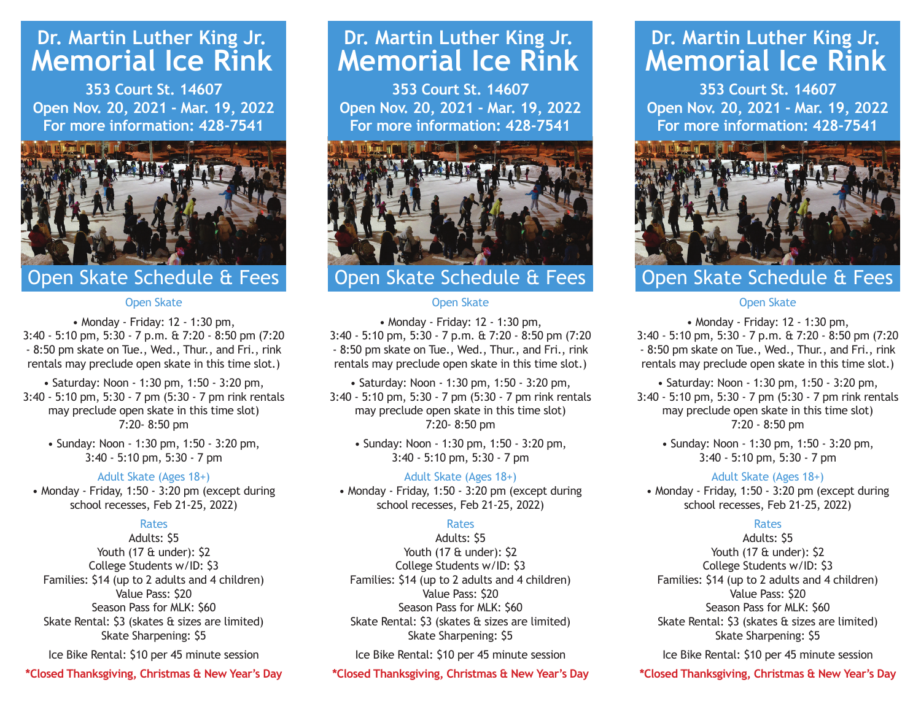# **Dr. Martin Luther King Jr. Memorial Ice Rink**

**353 Court St. 14607 Open Nov. 20, 2021 - Mar. 19, 2022 For more information: 428-7541**



# Open Skate Schedule & Fees

#### Open Skate

• Monday - Friday: 12 - 1:30 pm, 3:40 - 5:10 pm, 5:30 - 7 p.m. & 7:20 - 8:50 pm (7:20 - 8:50 pm skate on Tue., Wed., Thur., and Fri., rink rentals may preclude open skate in this time slot.)

• Saturday: Noon - 1:30 pm, 1:50 - 3:20 pm, 3:40 - 5:10 pm, 5:30 - 7 pm (5:30 - 7 pm rink rentals may preclude open skate in this time slot) 7:20- 8:50 pm

• Sunday: Noon - 1:30 pm, 1:50 - 3:20 pm, 3:40 - 5:10 pm, 5:30 - 7 pm

#### Adult Skate (Ages 18+)

• Monday - Friday, 1:50 - 3:20 pm (except during school recesses, Feb 21-25, 2022)

#### Rates

Adults: \$5 Youth (17 & under): \$2 College Students w/ID: \$3 Families: \$14 (up to 2 adults and 4 children) Value Pass: \$20 Season Pass for MLK: \$60 Skate Rental: \$3 (skates & sizes are limited) Skate Sharpening: \$5

Ice Bike Rental: \$10 per 45 minute session

**\*Closed Thanksgiving, Christmas & New Year's Day**